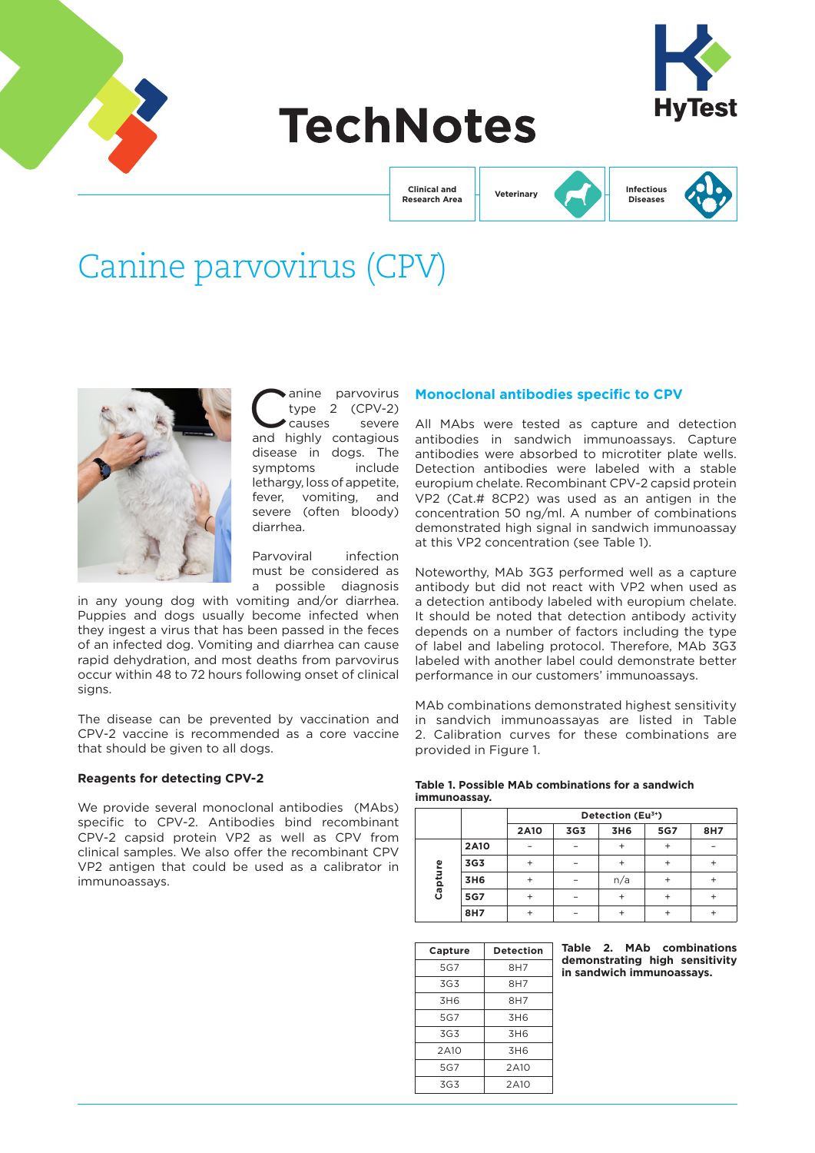

# **TechNotes**



**Clinical and Research Area** **Veterinary**



**Infectious Diseases**

## Canine parvovirus (CPV)



anine parvovirus<br>type 2 (CPV-2)<br>causes severe type  $2$  (CPV-2) causes and highly contagious disease in dogs. The symptoms include lethargy, loss of appetite, fever, vomiting, and severe (often bloody) diarrhea.

Parvoviral infection must be considered as a possible diagnosis

in any young dog with vomiting and/or diarrhea. Puppies and dogs usually become infected when they ingest a virus that has been passed in the feces of an infected dog. Vomiting and diarrhea can cause rapid dehydration, and most deaths from parvovirus occur within 48 to 72 hours following onset of clinical signs.

The disease can be prevented by vaccination and CPV-2 vaccine is recommended as a core vaccine that should be given to all dogs.

#### **Reagents for detecting CPV-2**

We provide several monoclonal antibodies (MAbs) specific to CPV-2. Antibodies bind recombinant CPV-2 capsid protein VP2 as well as CPV from clinical samples. We also offer the recombinant CPV VP2 antigen that could be used as a calibrator in immunoassays.

#### **Monoclonal antibodies specific to CPV**

All MAbs were tested as capture and detection antibodies in sandwich immunoassays. Capture antibodies were absorbed to microtiter plate wells. Detection antibodies were labeled with a stable europium chelate. Recombinant CPV-2 capsid protein VP2 (Cat.# 8CP2) was used as an antigen in the concentration 50 ng/ml. A number of combinations demonstrated high signal in sandwich immunoassay at this VP2 concentration (see Table 1).

Noteworthy, MAb 3G3 performed well as a capture antibody but did not react with VP2 when used as a detection antibody labeled with europium chelate. It should be noted that detection antibody activity depends on a number of factors including the type of label and labeling protocol. Therefore, MAb 3G3 labeled with another label could demonstrate better performance in our customers' immunoassays.

MAb combinations demonstrated highest sensitivity in sandvich immunoassayas are listed in Table 2. Calibration curves for these combinations are provided in Figure 1.

#### **Table 1. Possible MAb combinations for a sandwich immunoassay.**

|         |             | Detection (Eu <sup>3+</sup> ) |     |     |     |     |  |
|---------|-------------|-------------------------------|-----|-----|-----|-----|--|
|         |             | <b>2A10</b>                   | 3G3 | 3H6 | 5G7 | 8H7 |  |
| Capture | <b>2A10</b> |                               |     |     |     |     |  |
|         | 3G3         | ٠                             |     |     |     |     |  |
|         | 3H6         | +                             |     | n/a |     |     |  |
|         | 5G7         | +                             |     |     |     |     |  |
|         | 8H7         | +                             |     |     |     |     |  |

| Capture         | <b>Detection</b> |  |  |
|-----------------|------------------|--|--|
| 5G7             | 8H7              |  |  |
| 3G3             | 8H7              |  |  |
| 3H <sub>6</sub> | 8H7              |  |  |
| 5G7             | 3H <sub>6</sub>  |  |  |
| 3G3             | 3H <sub>6</sub>  |  |  |
| 2A10            | 3H <sub>6</sub>  |  |  |
| 5G7             | 2A10             |  |  |
| 3G3             | 2A10             |  |  |

**Table 2. MAb combinations demonstrating high sensitivity in sandwich immunoassays.**